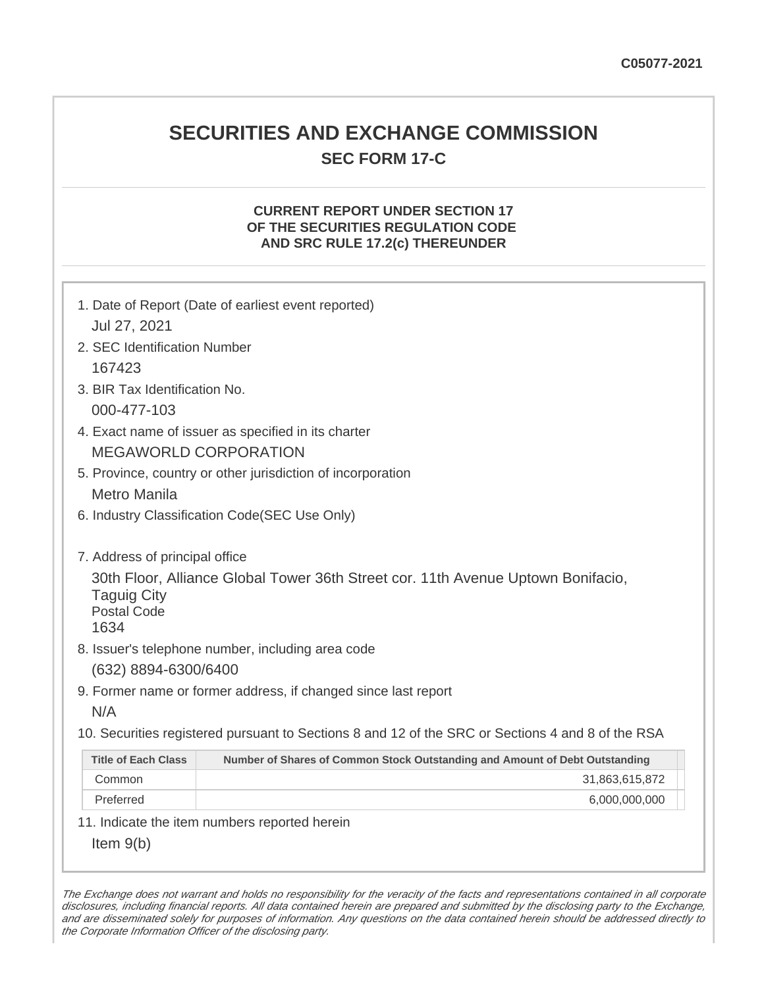# **SECURITIES AND EXCHANGE COMMISSION SEC FORM 17-C**

## **CURRENT REPORT UNDER SECTION 17 OF THE SECURITIES REGULATION CODE AND SRC RULE 17.2(c) THEREUNDER**

| 1. Date of Report (Date of earliest event reported)<br>Jul 27, 2021                                                                                                                                                         |                                                                                                   |  |
|-----------------------------------------------------------------------------------------------------------------------------------------------------------------------------------------------------------------------------|---------------------------------------------------------------------------------------------------|--|
| 2. SEC Identification Number                                                                                                                                                                                                |                                                                                                   |  |
| 167423                                                                                                                                                                                                                      |                                                                                                   |  |
| 3. BIR Tax Identification No.                                                                                                                                                                                               |                                                                                                   |  |
| 000-477-103                                                                                                                                                                                                                 |                                                                                                   |  |
| 4. Exact name of issuer as specified in its charter                                                                                                                                                                         |                                                                                                   |  |
| <b>MEGAWORLD CORPORATION</b>                                                                                                                                                                                                |                                                                                                   |  |
| 5. Province, country or other jurisdiction of incorporation                                                                                                                                                                 |                                                                                                   |  |
| <b>Metro Manila</b>                                                                                                                                                                                                         |                                                                                                   |  |
| 6. Industry Classification Code(SEC Use Only)                                                                                                                                                                               |                                                                                                   |  |
| 7. Address of principal office<br>30th Floor, Alliance Global Tower 36th Street cor. 11th Avenue Uptown Bonifacio,<br><b>Taguig City</b><br><b>Postal Code</b><br>1634<br>8. Issuer's telephone number, including area code |                                                                                                   |  |
| (632) 8894-6300/6400                                                                                                                                                                                                        |                                                                                                   |  |
| 9. Former name or former address, if changed since last report                                                                                                                                                              |                                                                                                   |  |
| N/A                                                                                                                                                                                                                         |                                                                                                   |  |
|                                                                                                                                                                                                                             | 10. Securities registered pursuant to Sections 8 and 12 of the SRC or Sections 4 and 8 of the RSA |  |
| <b>Title of Each Class</b>                                                                                                                                                                                                  | Number of Shares of Common Stock Outstanding and Amount of Debt Outstanding                       |  |
| Common                                                                                                                                                                                                                      | 31,863,615,872                                                                                    |  |
| Preferred                                                                                                                                                                                                                   | 6,000,000,000                                                                                     |  |
| 11. Indicate the item numbers reported herein                                                                                                                                                                               |                                                                                                   |  |
| Item $9(b)$                                                                                                                                                                                                                 |                                                                                                   |  |

The Exchange does not warrant and holds no responsibility for the veracity of the facts and representations contained in all corporate disclosures, including financial reports. All data contained herein are prepared and submitted by the disclosing party to the Exchange, and are disseminated solely for purposes of information. Any questions on the data contained herein should be addressed directly to the Corporate Information Officer of the disclosing party.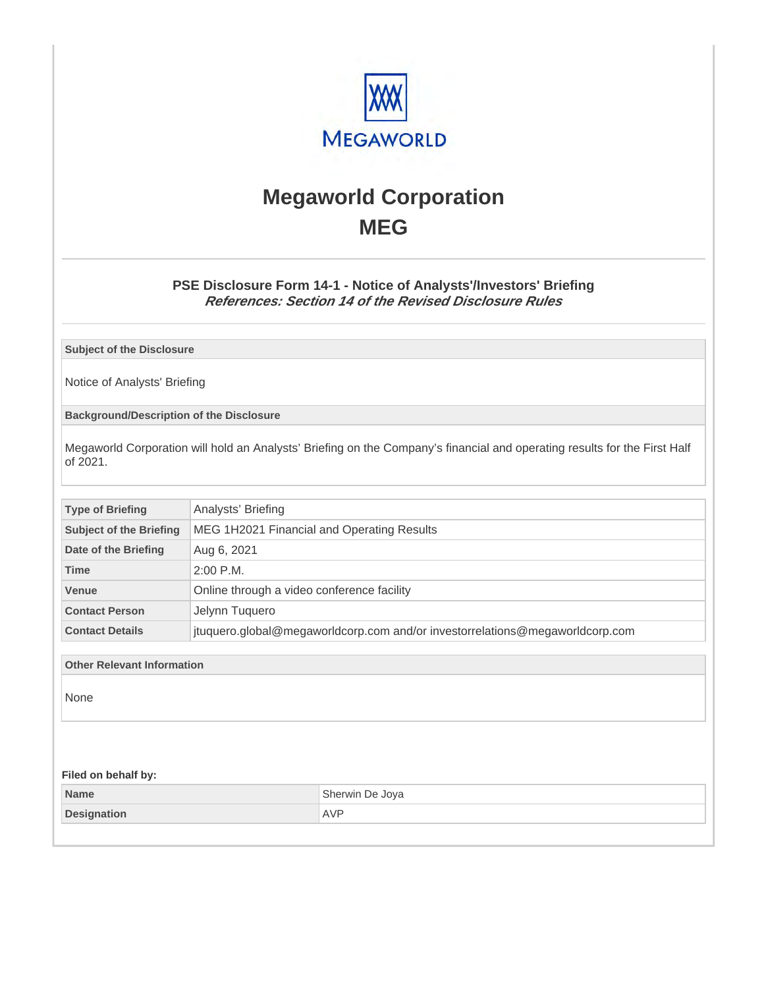

# **Megaworld Corporation MEG**

## **PSE Disclosure Form 14-1 - Notice of Analysts'/Investors' Briefing References: Section 14 of the Revised Disclosure Rules**

**Subject of the Disclosure**

Notice of Analysts' Briefing

**Background/Description of the Disclosure**

Megaworld Corporation will hold an Analysts' Briefing on the Company's financial and operating results for the First Half of 2021.

| <b>Type of Briefing</b>        | Analysts' Briefing                                                           |
|--------------------------------|------------------------------------------------------------------------------|
| <b>Subject of the Briefing</b> | MEG 1H2021 Financial and Operating Results                                   |
| Date of the Briefing           | Aug 6, 2021                                                                  |
| <b>Time</b>                    | $2:00$ P.M.                                                                  |
| <b>Venue</b>                   | Online through a video conference facility                                   |
| <b>Contact Person</b>          | Jelynn Tuguero                                                               |
| <b>Contact Details</b>         | jtuquero.global@megaworldcorp.com and/or investorrelations@megaworldcorp.com |

**Other Relevant Information**

None

#### **Filed on behalf by:**

| Name               | Sherwin De Joya        |
|--------------------|------------------------|
| <b>Designation</b> | <b>AVF</b><br>$\cdots$ |
|                    |                        |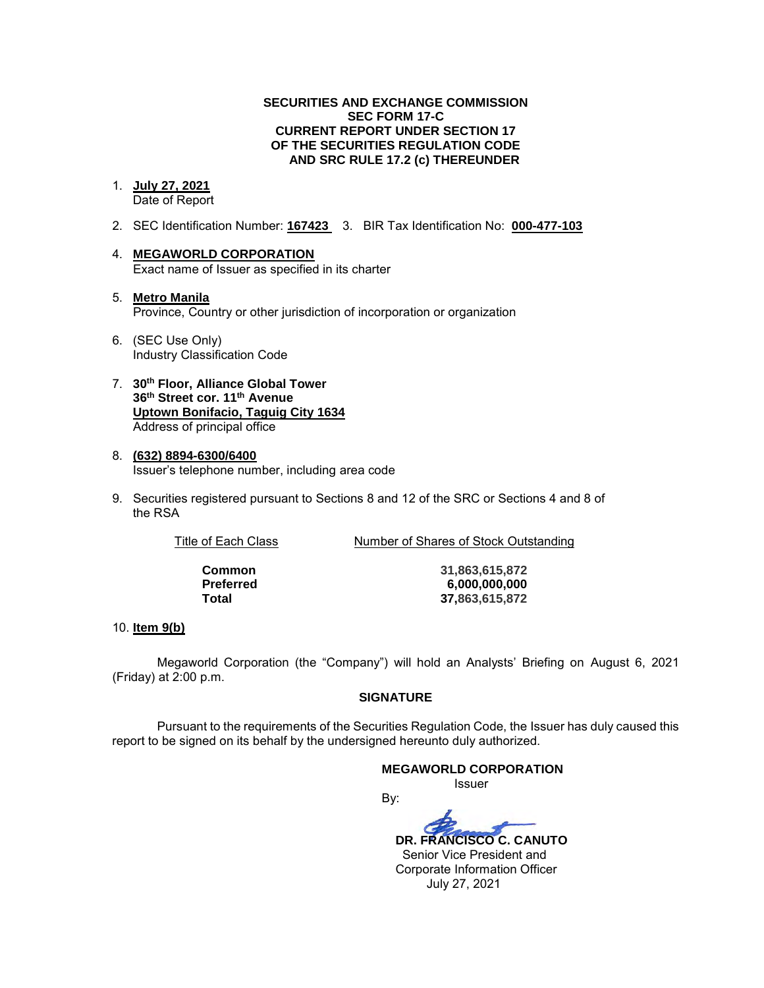#### **SECURITIES AND EXCHANGE COMMISSION SEC FORM 17-C CURRENT REPORT UNDER SECTION 17 OF THE SECURITIES REGULATION CODE AND SRC RULE 17.2 (c) THEREUNDER**

# 1. **July 27, 2021**

Date of Report

- 2. SEC Identification Number: **167423** 3. BIR Tax Identification No: **000-477-103**
- 4. **MEGAWORLD CORPORATION**  Exact name of Issuer as specified in its charter
- 5. **Metro Manila** Province, Country or other jurisdiction of incorporation or organization
- 6. (SEC Use Only) Industry Classification Code
- 7. **30th Floor, Alliance Global Tower 36th Street cor. 11th Avenue Uptown Bonifacio, Taguig City 1634** Address of principal office
- 8. **(632) 8894-6300/6400**  Issuer's telephone number, including area code
- 9. Securities registered pursuant to Sections 8 and 12 of the SRC or Sections 4 and 8 of the RSA

Title of Each Class Number of Shares of Stock Outstanding

**Common 31,863,615,872 Preferred 6,000,000,000 Total 37,863,615,872**

### 10. **Item 9(b)**

Megaworld Corporation (the "Company") will hold an Analysts' Briefing on August 6, 2021 (Friday) at 2:00 p.m.

### **SIGNATURE**

Pursuant to the requirements of the Securities Regulation Code, the Issuer has duly caused this report to be signed on its behalf by the undersigned hereunto duly authorized.

### **MEGAWORLD CORPORATION**

*<u>Issuer</u> Issuer Issuer* 

By:  **DR. FRANCISCO C. CANUTO** 

 Senior Vice President and Corporate Information Officer July 27, 2021